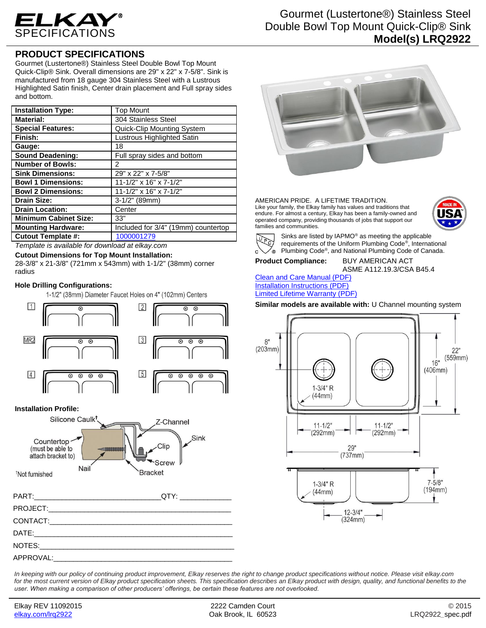

## **PRODUCT SPECIFICATIONS**

Gourmet (Lustertone®) Stainless Steel Double Bowl Top Mount Quick-Clip® Sink. Overall dimensions are 29" x 22" x 7-5/8". Sink is manufactured from 18 gauge 304 Stainless Steel with a Lustrous Highlighted Satin finish, Center drain placement and Full spray sides and bottom.

| <b>Installation Type:</b>    | <b>Top Mount</b>                    |
|------------------------------|-------------------------------------|
| <b>Material:</b>             | 304 Stainless Steel                 |
| <b>Special Features:</b>     | <b>Quick-Clip Mounting System</b>   |
| Finish:                      | Lustrous Highlighted Satin          |
| Gauge:                       | 18                                  |
| <b>Sound Deadening:</b>      | Full spray sides and bottom         |
| <b>Number of Bowls:</b>      | 2                                   |
| <b>Sink Dimensions:</b>      | 29" x 22" x 7-5/8"                  |
| <b>Bowl 1 Dimensions:</b>    | 11-1/2" x 16" x 7-1/2"              |
| <b>Bowl 2 Dimensions:</b>    | 11-1/2" x 16" x 7-1/2"              |
| <b>Drain Size:</b>           | $3-1/2"$ (89mm)                     |
| <b>Drain Location:</b>       | Center                              |
| <b>Minimum Cabinet Size:</b> | 33"                                 |
| <b>Mounting Hardware:</b>    | Included for 3/4" (19mm) countertop |
| <b>Cutout Template #:</b>    | 1000001279                          |

*Template is available for download at elkay.com*

**Cutout Dimensions for Top Mount Installation:**

28-3/8" x 21-3/8" (721mm x 543mm) with 1-1/2" (38mm) corner radius

## **Hole Drilling Configurations:**

1-1/2" (38mm) Diameter Faucet Holes on 4" (102mm) Centers





Gourmet (Lustertone®) Stainless Steel Double Bowl Top Mount Quick-Clip® Sink **Model(s) LRQ2922**



AMERICAN PRIDE. A LIFETIME TRADITION. Like your family, the Elkay family has values and traditions that endure. For almost a century, Elkay has been a family-owned and operated company, providing thousands of jobs that support our families and communities.





Sinks are listed by IAPMO® as meeting the applicable requirements of the Uniform Plumbing Code® , International Plumbing Code® , and National Plumbing Code of Canada.

## **Product Compliance:** BUY AMERICAN ACT

ASME A112.19.3/CSA B45.4

[Clean and Care Manual \(PDF\)](http://www.elkay.com/wcsstore/lkdocs/care-cleaning-install-warranty-sheets/residential%20and%20commercial%20care%20%20cleaning.pdf) [Installation Instructions \(PDF\)](http://www.elkay.com/wcsstore/lkdocs/care-cleaning-install-warranty-sheets/74180271.pdf) [Limited Lifetime Warranty](http://www.elkay.com/wcsstore/lkdocs/care-cleaning-install-warranty-sheets/residential%20sinks%20warranty.pdf) (PDF)

**Similar models are available with:** U Channel mounting system



*In keeping with our policy of continuing product improvement, Elkay reserves the right to change product specifications without notice. Please visit elkay.com*  for the most current version of Elkay product specification sheets. This specification describes an Elkay product with design, quality, and functional benefits to the *user. When making a comparison of other producers' offerings, be certain these features are not overlooked.*